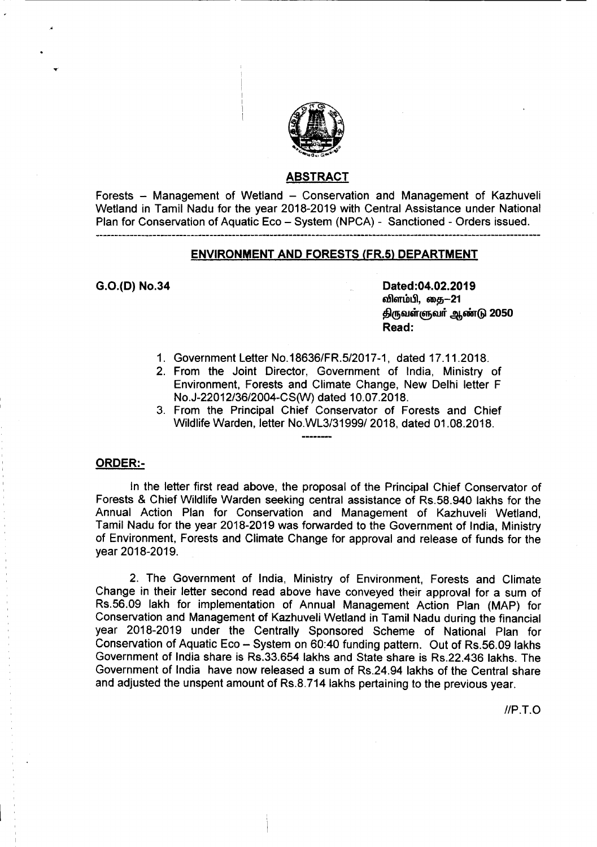

### ABSTRACT

Forests - Management of Wetland - Conservation and Management of Kazhuveli Wetland in Tamil Nadu for the year 2018-2019 with Central Assistance under National Plan for Conservation of Aquatic Eco - System (NPCA) - Sanctioned - Orders issued.

## ENVIRONMENT AND FORESTS (FR.5) DEPARTMENT

G.O.(D) No.34 Dated:04.02.2019 விளம்பி, கை—21 திருவள்ளுவர் ஆண்டு 2050 Read:

- 1. Government Letter *NO.18636/FR.5/2017-1,* dated 17.11.2018.
- 2. From the Joint Director, Government of India, Ministry of Environment, Forests and Climate Change, New Delhi letter F No.J-22012/36/2004-CS(W) dated 10.07.2018.
- 3. From the Principal Chief Conservator of Forests and Chief Wildlife Warden, letter No.WL3/31999/2018, dated 01.08.2018.

#### ORDER:-

In the letter first read above, the proposal of the Principal Chief Conservator of Forests & Chief Wildlife Warden seeking central assistance of RS.58.940 lakhs for the Annual Action Plan for Conservation and Management of Kazhuveli Wetland, Tamil Nadu for the year 2018-2019 was forwarded to the Government of India, Ministry of Environment, Forests and Climate Change for approval and release of funds for the year 2018-2019.

2. The Government of India, Ministry of Environment, Forests and Climate Change in their letter second read above have conveyed their approval for a sum of RS.56.09 lakh for implementation of Annual Management Action Plan (MAP) for Conservation and Management of Kazhuveli Wetland in Tamil Nadu during the financial year 2018-2019 under the Centrally Sponsored Scheme of National Plan for Conservation of Aquatic Eco - System on 60:40 funding pattern. Out of Rs.56.09 lakhs Government of India share is Rs.33.654 lakhs and State share is Rs.22.436 lakhs. The Government of India have now released a sum of Rs.24.94 lakhs of the Central share and adjusted the unspent amount of Rs.8.714 lakhs pertaining to the previous year.

*IIP.T.O*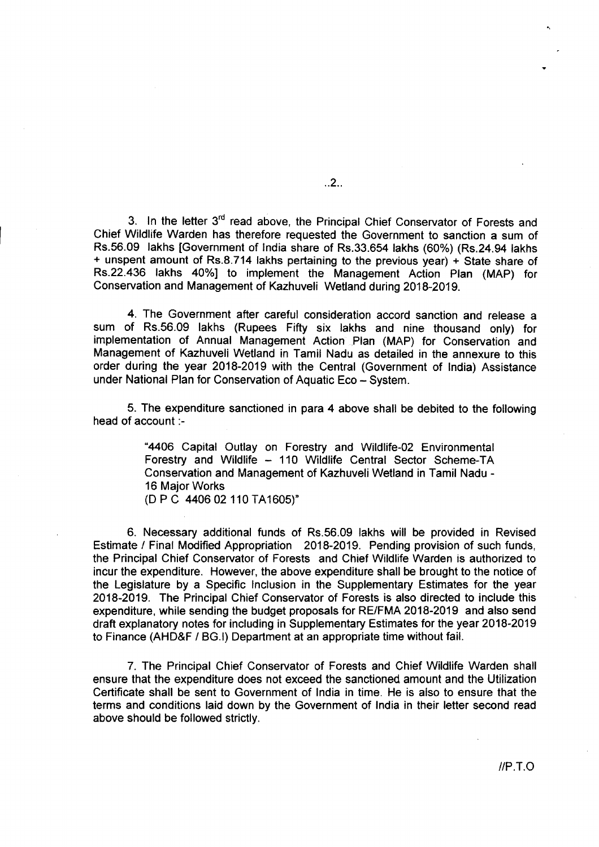3. In the letter 3<sup>rd</sup> read above, the Principal Chief Conservator of Forests and Chief Wildlife Warden has therefore requested the Government to sanction a sum of RS.5S.09 lakhs [Government of India share of Rs.33.S54 lakhs (60%) (Rs.24.94 lakhs + unspent amount of Rs.8.714 lakhs pertaining to the previous year) + State share of Rs.22.436 lakhs 40%] to implement the Management Action Plan (MAP) for Conservation and Management of Kazhuveli Wetland during 2018-2019.

4. The Government after careful consideration accord sanction and release a sum of RS.S6.09 lakhs (Rupees Fifty six lakhs and nine thousand only) for implementation of Annual Management Action Plan (MAP) for Conservation and Management of Kazhuveli Wetland in Tamil Nadu as detailed in the annexure to this order during the year 2018-2019 with the Central (Government of India) Assistance under National Plan for Conservation of Aquatic Eco - System.

5. The expenditure sanctioned in para 4 above shall be debited to the following head of account :-

> "440S Capital Outlay on Forestry and Wildlife-02 Environmental Forestry and Wildlife - 110 Wildlife Central Sector Scheme-TA Conservation and Management of Kazhuveli Wetland in Tamil Nadu - 16 Major Works (D P C 4406 02 110 TA1605)"

6. Necessary additional funds of Rs.S6.09 lakhs will be provided in Revised Estimate *I* Final Modified Appropriation 2018-2019. Pending provision of such funds, the Principal Chief Conservator of Forests and Chief Wildlife Warden is authorized to incur the expenditure. However, the above expenditure shall be brought to the notice of the Legislature by a Specific Inclusion in the Supplementary Estimates for the year 2018-2019. The Principal Chief Conservator of Forests is also directed to include this expenditure, while sending the budget proposals for RE/FMA 2018-2019 and also send draft explanatory notes for including in Supplementary Estimates for the year 2018-2019 to Finance (AHO&F *I* 8G.I) Department at an appropriate time without fail.

7. The Principal Chief Conservator of Forests and Chief Wildlife Warden shall ensure that the expenditure does not exceed the sanctioned amount and the Utilization Certificate shall be sent to Government of India in time. He is also to ensure that the terms and conditions laid down by the Government of India in their letter second read above should be followed strictly.

..2..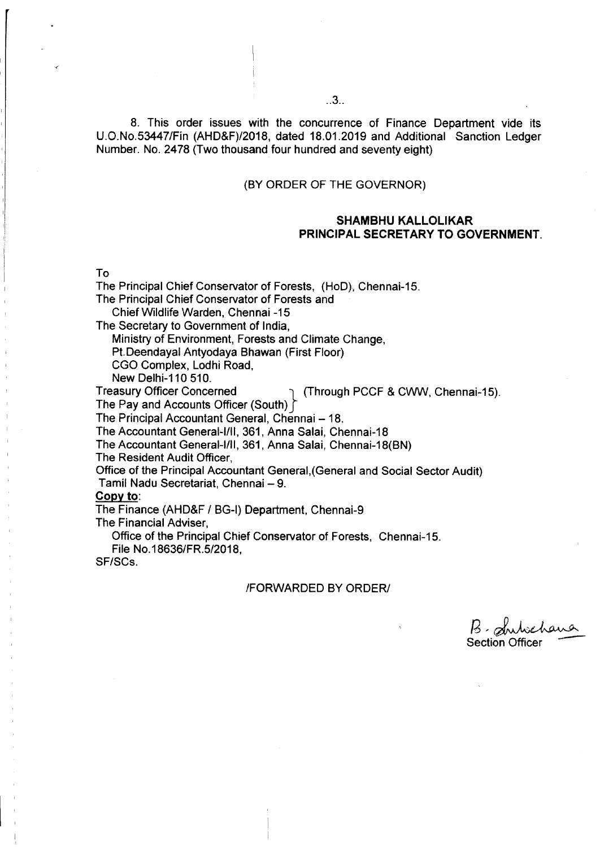8. This order issues with the concurrence of Finance Department vide its U.O.No.53447/Fin (AHD&F)/2018, dated 18.01.2019 and Additional Sanction Ledger Number. No. 2478 (Two thousand four hundred and seventy eight)

## (BY ORDER OF THE GOVERNOR)

## SHAMBHU KALLOLIKAR PRINCIPAL SECRETARY TO GOVERNMENT.

To

Chief Wildlife Warden, Chennai -15 The Secretary to Government of India, Ministry of Environment, Forests and Climate Change, Pt.Deendayal Antyodaya Bhawan (First Floor) CGO Complex, Lodhi Road, New Delhi-110 510.<br>Treasury Officer Concerned (Through PCCF & CWW, Chennai-15). The Pay and Accounts Officer (South) The Principal Accountant General, Chennai - 18. The Accountant General-I/II, 361, Anna Salai, Chennai-18 The Accountant General-I/II, 361, Anna Salai, Chennai-18(BN) The Resident Audit Officer, Office of the Principal Accountant General,(General and Social Sector Audit) Tamil Nadu Secretariat, Chennai - 9.

The Principal Chief Conservator of Forests, (HoD); Chennai-15.

The Principal Chief Conservator of Forests and

#### Copy to:

The Finance (AHD&F *I* BG-I) Department, Chennai-9

The Financial Adviser,

Office of the Principal Chief Conservator of Forests, Chennai-15.

File *No.18636/FR.5/2018,*

SF/SCs.

#### IFORWARDED BY ORDERI

~.;~~ Section Officer -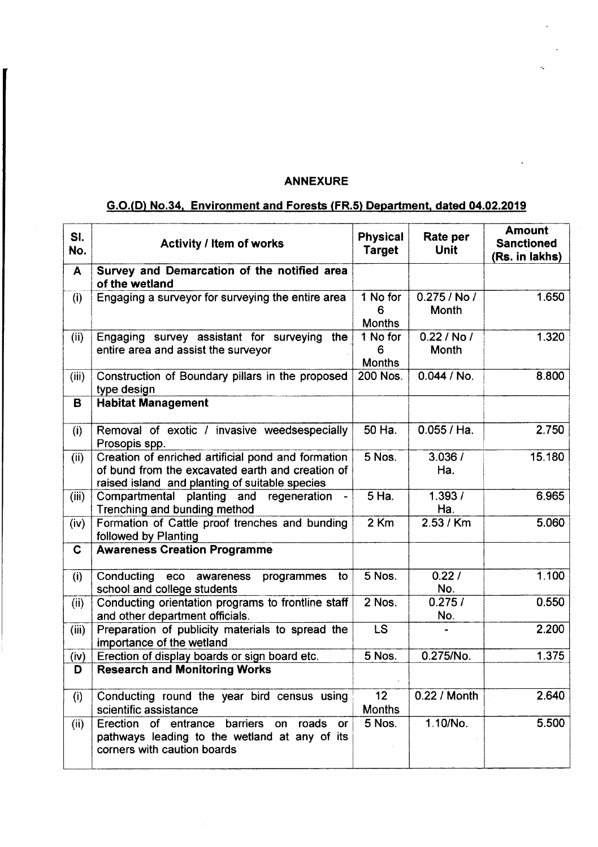# ANNEXURE

# G.O.CD) No.34. Environment and Forests (FR.5) Department. dated 04.02.2019

| SI.<br>No.  | <b>Activity / Item of works</b>                                                                                                                          | <b>Physical</b><br>Target        | Rate per<br>Unit         | <b>Amount</b><br><b>Sanctioned</b><br>(Rs. in lakhs) |
|-------------|----------------------------------------------------------------------------------------------------------------------------------------------------------|----------------------------------|--------------------------|------------------------------------------------------|
| A           | Survey and Demarcation of the notified area<br>of the wetland                                                                                            |                                  |                          |                                                      |
| (i)         | Engaging a surveyor for surveying the entire area                                                                                                        | 1 No for<br>6<br><b>Months</b>   | $0.275/$ No $/$<br>Month | 1.650                                                |
| (ii)        | Engaging survey assistant for surveying the<br>entire area and assist the surveyor                                                                       | 1 No for<br>6<br><b>Months</b>   | 0.22 / No /<br>Month     | 1.320                                                |
| (iii)       | Construction of Boundary pillars in the proposed<br>type design                                                                                          | 200 Nos.                         | 0.044 / No.              | 8.800                                                |
| B           | <b>Habitat Management</b>                                                                                                                                |                                  |                          |                                                      |
| (i)         | Removal of exotic / invasive weedsespecially<br>Prosopis spp.                                                                                            | $50$ Ha.                         | 0.055 / Ha.              | 2.750                                                |
| (ii)        | Creation of enriched artificial pond and formation<br>of bund from the excavated earth and creation of<br>raised island and planting of suitable species | 5 Nos.                           | 3.036/<br>Ha.            | 15.180                                               |
| (iii)       | Compartmental planting and<br>regeneration<br>Trenching and bunding method                                                                               | 5 Ha.                            | 1.393/<br>Ha.            | 6.965                                                |
| (iv)        | Formation of Cattle proof trenches and bunding<br>followed by Planting                                                                                   | 2 Km                             | 2.53 / Km                | 5.060                                                |
| $\mathbf C$ | <b>Awareness Creation Programme</b>                                                                                                                      |                                  |                          |                                                      |
| (i)         | Conducting<br>eco<br>awareness<br>programmes<br>to<br>school and college students                                                                        | 5 Nos.                           | 0.22/<br>No.             | 1.100                                                |
| (ii)        | Conducting orientation programs to frontline staff<br>and other department officials.                                                                    | 2 Nos.                           | 0.275/<br>No.            | 0.550                                                |
| (iii)       | Preparation of publicity materials to spread the<br>importance of the wetland                                                                            | <b>LS</b>                        |                          | 2.200                                                |
| (iv)        | Erection of display boards or sign board etc.                                                                                                            | 5 Nos.                           | 0.275/No.                | 1.375                                                |
| D           | <b>Research and Monitoring Works</b>                                                                                                                     |                                  |                          |                                                      |
| (i)         | Conducting round the year bird census using<br>scientific assistance                                                                                     | 12 <sub>2</sub><br><b>Months</b> | 0.22 / Month             | 2.640                                                |
| (ii)        | Erection of entrance<br>barriers<br>on roads<br>or<br>pathways leading to the wetland at any of its<br>corners with caution boards                       | 5 Nos.                           | 1.10/No.                 | 5.500                                                |